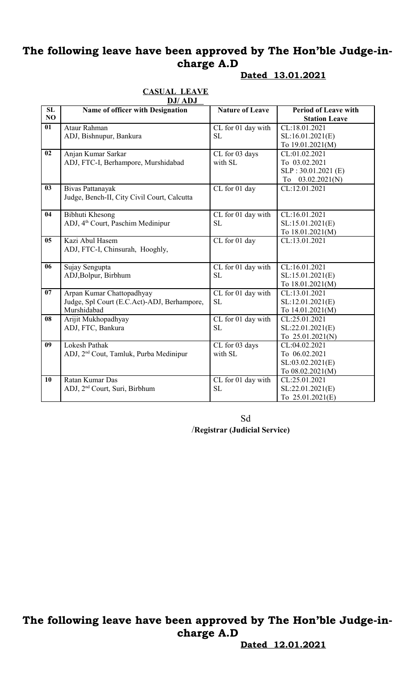**SL NO**

ADJ, FTC-I, Chinsurah, Hooghly,

Judge, Spl Court (E.C.Act)-ADJ, Berhampore,

ADJ, 2nd Cout, Tamluk, Purba Medinipur

ADJ, 2nd Court, Suri, Birbhum

**06** Sujay Sengupta

Murshidabad

**09** Lokesh Pathak

**10** Ratan Kumar Das

**08** Arijit Mukhopadhyay ADJ, FTC, Bankura

ADJ,Bolpur, Birbhum

**07** Arpan Kumar Chattopadhyay

**Dated 13.01.2021**

CL:16.01.2021 SL:15.01.2021(E) To 18.01.2021(M)

CL:13.01.2021 SL:12.01.2021(E) To 14.01.2021(M)

CL:25.01.2021 SL:22.01.2021(E) To 25.01.2021(N)

CL:04.02.2021 To 06.02.2021 SL:03.02.2021(E) To 08.02.2021(M)

CL:25.01.2021 SL:22.01.2021(E) To 25.01.2021(E)

#### **CASUAL LEAVE DJ/ ADJ Name of officer with Designation Nature of Leave Period of Leave with Station Leave 01** Ataur Rahman ADJ, Bishnupur, Bankura CL for 01 day with SL CL:18.01.2021 SL:16.01.2021(E) To 19.01.2021(M) **02** Anjan Kumar Sarkar ADJ, FTC-I, Berhampore, Murshidabad CL for 03 days with SL CL:01.02.2021 To 03.02.2021 SLP : 30.01.2021 (E) To 03.02.2021(N) **03** Bivas Pattanayak Judge, Bench-II, City Civil Court, Calcutta CL for 01 day CL:12.01.2021 **04** Bibhuti Khesong ADJ, 4th Court, Paschim Medinipur CL for 01 day with SL CL:16.01.2021 SL:15.01.2021(E) To 18.01.2021(M) **05** Kazi Abul Hasem CL for 01 day CL:13.01.2021

SL

SL

SL

SL

Sd /**Registrar (Judicial Service)**

CL for 01 day with

CL for 01 day with

CL for 01 day with

CL for 01 day with

CL for 03 days

with SL

# **The following leave have been approved by The Hon'ble Judge-incharge A.D**

**Dated 12.01.2021**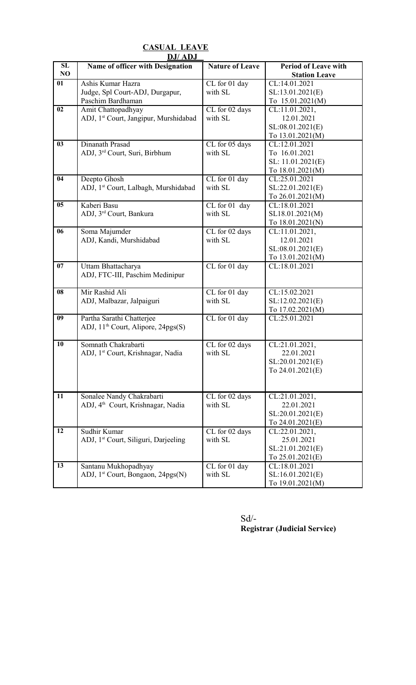|          | <b>DJ/ADJ</b>                                                              |                           |                                                                         |  |
|----------|----------------------------------------------------------------------------|---------------------------|-------------------------------------------------------------------------|--|
| SL<br>NO | Name of officer with Designation                                           | <b>Nature of Leave</b>    | <b>Period of Leave with</b><br><b>Station Leave</b>                     |  |
| 01       | Ashis Kumar Hazra<br>Judge, Spl Court-ADJ, Durgapur,<br>Paschim Bardhaman  | CL for 01 day<br>with SL  | CL:14.01.2021<br>SL:13.01.2021(E)<br>To 15.01.2021(M)                   |  |
| 02       | Amit Chattopadhyay<br>ADJ, 1 <sup>st</sup> Court, Jangipur, Murshidabad    | CL for 02 days<br>with SL | CL:11.01.2021,<br>12.01.2021<br>SL:08.01.2021(E)<br>To 13.01.2021(M)    |  |
| 03       | Dinanath Prasad<br>ADJ, 3 <sup>rd</sup> Court, Suri, Birbhum               | CL for 05 days<br>with SL | CL:12.01.2021<br>To 16.01.2021<br>SL: 11.01.2021(E)<br>To 18.01.2021(M) |  |
| 04       | Deepto Ghosh<br>ADJ, 1st Court, Lalbagh, Murshidabad                       | CL for 01 day<br>with SL  | CL:25.01.2021<br>SL:22.01.2021(E)<br>To 26.01.2021(M)                   |  |
| 05       | Kaberi Basu<br>ADJ, 3rd Court, Bankura                                     | CL for 01 day<br>with SL  | CL:18.01.2021<br>SL18.01.2021(M)<br>To 18.01.2021(N)                    |  |
| 06       | Soma Majumder<br>ADJ, Kandi, Murshidabad                                   | CL for 02 days<br>with SL | CL:11.01.2021,<br>12.01.2021<br>SL:08.01.2021(E)<br>To 13.01.2021(M)    |  |
| 07       | Uttam Bhattacharya<br>ADJ, FTC-III, Paschim Medinipur                      | CL for 01 day             | CL:18.01.2021                                                           |  |
| 08       | Mir Rashid Ali<br>ADJ, Malbazar, Jalpaiguri                                | CL for 01 day<br>with SL  | CL:15.02.2021<br>SL:12.02.2021(E)<br>To 17.02.2021(M)                   |  |
| 09       | Partha Sarathi Chatterjee<br>ADJ, $11th$ Court, Alipore, $24pgs(S)$        | CL for 01 day             | CL:25.01.2021                                                           |  |
| 10       | Somnath Chakrabarti<br>ADJ, 1st Court, Krishnagar, Nadia                   | CL for 02 days<br>with SL | CL:21.01.2021,<br>22.01.2021<br>SL:20.01.2021(E)<br>To 24.01.2021(E)    |  |
| 11       | Sonalee Nandy Chakrabarti<br>ADJ, 4 <sup>th</sup> Court, Krishnagar, Nadia | CL for 02 days<br>with SL | CL:21.01.2021,<br>22.01.2021<br>SL:20.01.2021(E)<br>To 24.01.2021(E)    |  |
| 12       | Sudhir Kumar<br>ADJ, 1 <sup>st</sup> Court, Siliguri, Darjeeling           | CL for 02 days<br>with SL | CL:22.01.2021,<br>25.01.2021<br>SL:21.01.2021(E)<br>To 25.01.2021(E)    |  |
| 13       | Santanu Mukhopadhyay<br>ADJ, 1 <sup>st</sup> Court, Bongaon, 24pgs(N)      | CL for 01 day<br>with SL  | CL:18.01.2021<br>SL:16.01.2021(E)<br>To 19.01.2021(M)                   |  |

**CASUAL LEAVE**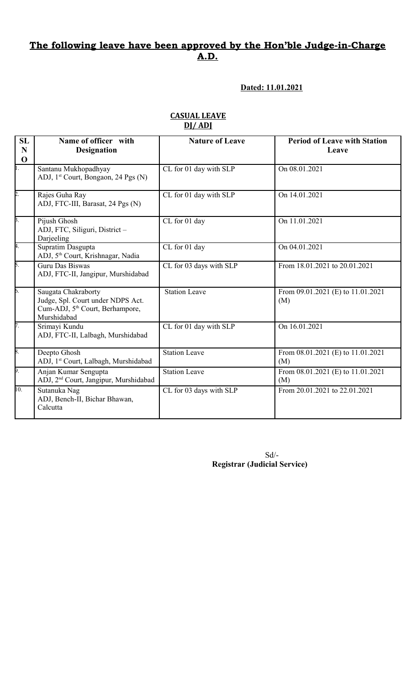**Dated: 11.01.2021**

| <b>SL</b><br>$\mathbf N$<br>$\mathbf 0$ | Name of officer with<br><b>Designation</b>                                                                             | <b>Nature of Leave</b>  | <b>Period of Leave with Station</b><br>Leave |
|-----------------------------------------|------------------------------------------------------------------------------------------------------------------------|-------------------------|----------------------------------------------|
| $\overline{1}$ .                        | Santanu Mukhopadhyay<br>ADJ, 1 <sup>st</sup> Court, Bongaon, 24 Pgs (N)                                                | CL for 01 day with SLP  | On 08.01.2021                                |
| $\overline{2}$ .                        | Rajes Guha Ray<br>ADJ, FTC-III, Barasat, 24 Pgs (N)                                                                    | CL for 01 day with SLP  | On 14.01.2021                                |
| $\overline{3}$ .                        | Pijush Ghosh<br>ADJ, FTC, Siliguri, District -<br>Darjeeling                                                           | CL for 01 day           | On 11.01.2021                                |
| A.                                      | Supratim Dasgupta<br>ADJ, 5 <sup>th</sup> Court, Krishnagar, Nadia                                                     | CL for 01 day           | On 04.01.2021                                |
| 5.                                      | Guru Das Biswas<br>ADJ, FTC-II, Jangipur, Murshidabad                                                                  | CL for 03 days with SLP | From 18.01.2021 to 20.01.2021                |
| $\overline{6}$ .                        | Saugata Chakraborty<br>Judge, Spl. Court under NDPS Act.<br>Cum-ADJ, 5 <sup>th</sup> Court, Berhampore,<br>Murshidabad | <b>Station Leave</b>    | From 09.01.2021 (E) to 11.01.2021<br>(M)     |
| $\overline{7}$ .                        | Srimayi Kundu<br>ADJ, FTC-II, Lalbagh, Murshidabad                                                                     | CL for 01 day with SLP  | On 16.01.2021                                |
| 8.                                      | Deepto Ghosh<br>ADJ, 1st Court, Lalbagh, Murshidabad                                                                   | <b>Station Leave</b>    | From 08.01.2021 (E) to 11.01.2021<br>(M)     |
| $\overline{9}$ .                        | Anjan Kumar Sengupta<br>ADJ, 2 <sup>nd</sup> Court, Jangipur, Murshidabad                                              | <b>Station Leave</b>    | From 08.01.2021 (E) to 11.01.2021<br>(M)     |
| 10.                                     | Sutanuka Nag<br>ADJ, Bench-II, Bichar Bhawan,<br>Calcutta                                                              | CL for 03 days with SLP | From 20.01.2021 to 22.01.2021                |

#### **CASUAL LEAVE DJ/ ADJ**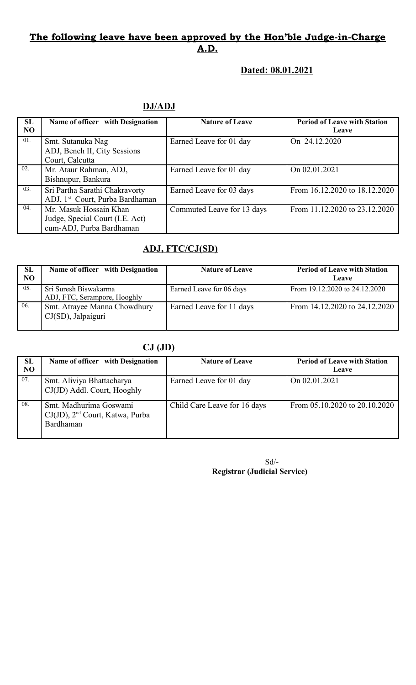### **Dated: 08.01.2021**

### **DJ/ADJ**

| SL  | Name of officer with Designation            | <b>Nature of Leave</b>     | <b>Period of Leave with Station</b> |
|-----|---------------------------------------------|----------------------------|-------------------------------------|
| NO  |                                             |                            | Leave                               |
| 01. | Smt. Sutanuka Nag                           | Earned Leave for 01 day    | On 24.12.2020                       |
|     | ADJ, Bench II, City Sessions                |                            |                                     |
|     | Court, Calcutta                             |                            |                                     |
| 02. | Mr. Ataur Rahman, ADJ,                      | Earned Leave for 01 day    | On 02.01.2021                       |
|     | Bishnupur, Bankura                          |                            |                                     |
| 03. | Sri Partha Sarathi Chakravorty              | Earned Leave for 03 days   | From 16.12.2020 to 18.12.2020       |
|     | ADJ, 1 <sup>st</sup> Court, Purba Bardhaman |                            |                                     |
| 04. | Mr. Masuk Hossain Khan                      | Commuted Leave for 13 days | From 11.12.2020 to 23.12.2020       |
|     | Judge, Special Court (I.E. Act)             |                            |                                     |
|     | cum-ADJ, Purba Bardhaman                    |                            |                                     |

# **ADJ, FTC/CJ(SD)**

| SL<br>NO | Name of officer with Designation                      | <b>Nature of Leave</b>   | <b>Period of Leave with Station</b><br><b>Leave</b> |
|----------|-------------------------------------------------------|--------------------------|-----------------------------------------------------|
| 05.      | Sri Suresh Biswakarma<br>ADJ, FTC, Serampore, Hooghly | Earned Leave for 06 days | From 19.12.2020 to 24.12.2020                       |
| 06.      | Smt. Atrayee Manna Chowdhury<br>CJ(SD), Jalpaiguri    | Earned Leave for 11 days | From 14.12.2020 to 24.12.2020                       |

# **CJ (JD)**

| SL  | Name of officer with Designation                                                   | <b>Nature of Leave</b>       | <b>Period of Leave with Station</b> |
|-----|------------------------------------------------------------------------------------|------------------------------|-------------------------------------|
| NO  |                                                                                    |                              | <b>Leave</b>                        |
| 07. | Smt. Aliviya Bhattacharya<br>CJ(JD) Addl. Court, Hooghly                           | Earned Leave for 01 day      | On 02.01.2021                       |
| 08. | Smt. Madhurima Goswami<br>CJ(JD), 2 <sup>nd</sup> Court, Katwa, Purba<br>Bardhaman | Child Care Leave for 16 days | From 05.10.2020 to 20.10.2020       |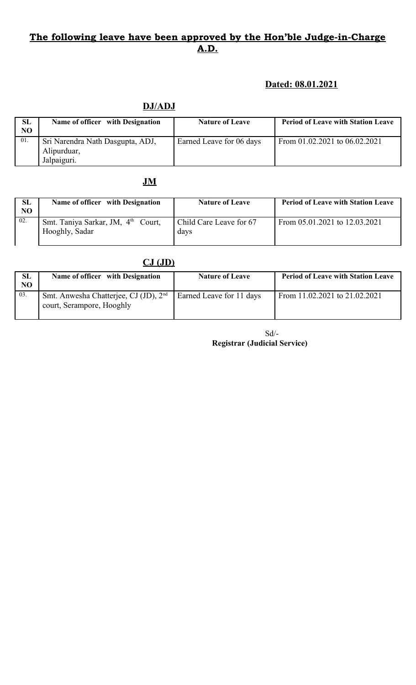### **Dated: 08.01.2021**

### **DJ/ADJ**

| SL<br>NO | Name of officer with Designation                               | <b>Nature of Leave</b>   | <b>Period of Leave with Station Leave</b> |
|----------|----------------------------------------------------------------|--------------------------|-------------------------------------------|
| 01.      | Sri Narendra Nath Dasgupta, ADJ,<br>Alipurduar,<br>Jalpaiguri. | Earned Leave for 06 days | From $01.02.2021$ to $06.02.2021$         |

# **JM**

| <b>SL</b><br>NO | Name of officer with Designation                                 | <b>Nature of Leave</b>          | <b>Period of Leave with Station Leave</b> |
|-----------------|------------------------------------------------------------------|---------------------------------|-------------------------------------------|
| 02.             | Smt. Taniya Sarkar, JM, 4 <sup>th</sup> Court,<br>Hooghly, Sadar | Child Care Leave for 67<br>davs | From 05.01.2021 to 12.03.2021             |

|                | $CJ$ $(JD)$                                                                    |                          |                                           |
|----------------|--------------------------------------------------------------------------------|--------------------------|-------------------------------------------|
| <b>SL</b>      | Name of officer with Designation                                               | <b>Nature of Leave</b>   | <b>Period of Leave with Station Leave</b> |
| N <sub>O</sub> |                                                                                |                          |                                           |
| 03.            | Smt. Anwesha Chatterjee, CJ (JD), 2 <sup>nd</sup><br>court, Serampore, Hooghly | Earned Leave for 11 days | From 11.02.2021 to 21.02.2021             |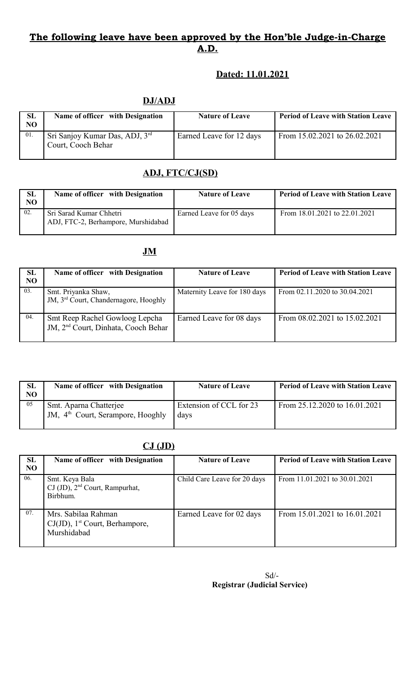### **Dated: 11.01.2021**

### **DJ/ADJ**

| <b>SL</b><br>N <sub>O</sub> | Name of officer with Designation                                 | <b>Nature of Leave</b>   | <b>Period of Leave with Station Leave</b> |
|-----------------------------|------------------------------------------------------------------|--------------------------|-------------------------------------------|
| 01.                         | Sri Sanjoy Kumar Das, ADJ, 3 <sup>rd</sup><br>Court, Cooch Behar | Earned Leave for 12 days | From 15.02.2021 to 26.02.2021             |

# **ADJ, FTC/CJ(SD)**

| SL<br>NO | Name of officer with Designation                               | <b>Nature of Leave</b>   | <b>Period of Leave with Station Leave</b> |
|----------|----------------------------------------------------------------|--------------------------|-------------------------------------------|
| 02.      | Sri Sarad Kumar Chhetri<br>ADJ, FTC-2, Berhampore, Murshidabad | Earned Leave for 05 days | From 18.01.2021 to 22.01.2021             |

### **JM**

| SL<br>N <sub>O</sub> | Name of officer with Designation                                                  | <b>Nature of Leave</b>       | <b>Period of Leave with Station Leave</b> |
|----------------------|-----------------------------------------------------------------------------------|------------------------------|-------------------------------------------|
| 03.                  | Smt. Priyanka Shaw,<br>JM, 3 <sup>rd</sup> Court, Chandernagore, Hooghly          | Maternity Leave for 180 days | From 02.11.2020 to 30.04.2021             |
| 04.                  | Smt Reep Rachel Gowloog Lepcha<br>JM, 2 <sup>nd</sup> Court, Dinhata, Cooch Behar | Earned Leave for 08 days     | From 08.02.2021 to 15.02.2021             |

| <b>SL</b><br>NO | Name of officer with Designation                                        | <b>Nature of Leave</b>          | <b>Period of Leave with Station Leave</b> |
|-----------------|-------------------------------------------------------------------------|---------------------------------|-------------------------------------------|
| 05              | Smt. Aparna Chatterjee<br>JM, 4 <sup>th</sup> Court, Serampore, Hooghly | Extension of CCL for 23<br>davs | From 25.12.2020 to 16.01.2021             |

### **CJ (JD)**

| <b>SL</b><br>N <sub>O</sub> | Name of officer with Designation                                                 | <b>Nature of Leave</b>       | <b>Period of Leave with Station Leave</b> |
|-----------------------------|----------------------------------------------------------------------------------|------------------------------|-------------------------------------------|
| 06.                         | Smt. Keya Bala<br>CJ (JD), 2 <sup>nd</sup> Court, Rampurhat,<br>Birbhum.         | Child Care Leave for 20 days | From 11.01.2021 to 30.01.2021             |
| 07.                         | Mrs. Sabilaa Rahman<br>CJ(JD), 1 <sup>st</sup> Court, Berhampore,<br>Murshidabad | Earned Leave for 02 days     | From 15.01.2021 to 16.01.2021             |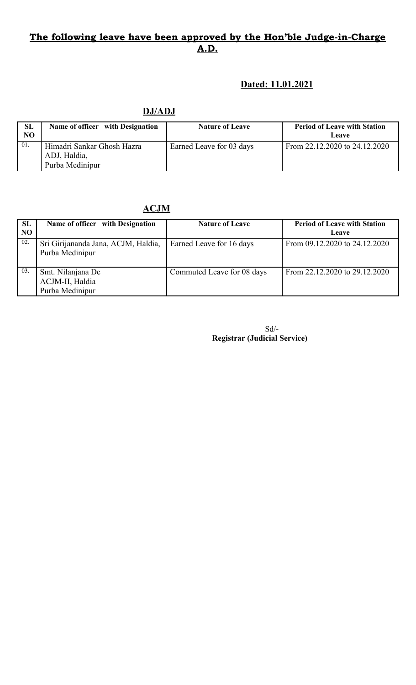### **Dated: 11.01.2021**

**DJ/ADJ**

| SL<br>NO | Name of officer with Designation                              | <b>Nature of Leave</b>   | <b>Period of Leave with Station</b><br>Leave |
|----------|---------------------------------------------------------------|--------------------------|----------------------------------------------|
| 01.      | Himadri Sankar Ghosh Hazra<br>ADJ, Haldia,<br>Purba Medinipur | Earned Leave for 03 days | From $22.12.2020$ to $24.12.2020$            |

**ACJM**

| SL<br>N <sub>O</sub> | Name of officer with Designation                        | <b>Nature of Leave</b>     | <b>Period of Leave with Station</b><br><b>Leave</b> |
|----------------------|---------------------------------------------------------|----------------------------|-----------------------------------------------------|
| 02.                  | Sri Girijananda Jana, ACJM, Haldia,<br>Purba Medinipur  | Earned Leave for 16 days   | From 09.12.2020 to 24.12.2020                       |
| 03.                  | Smt. Nilanjana De<br>ACJM-II, Haldia<br>Purba Medinipur | Commuted Leave for 08 days | From 22.12.2020 to 29.12.2020                       |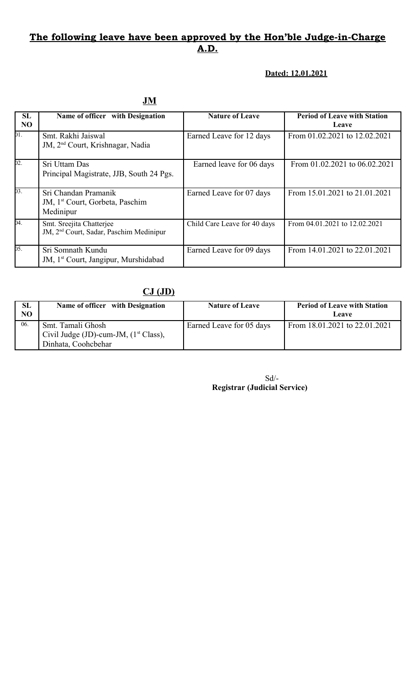#### **Dated: 12.01.2021**

| <b>SL</b><br>NO | Name of officer with Designation                                                 | <b>Nature of Leave</b>       | <b>Period of Leave with Station</b><br>Leave |
|-----------------|----------------------------------------------------------------------------------|------------------------------|----------------------------------------------|
| 01.             | Smt. Rakhi Jaiswal<br>JM, 2 <sup>nd</sup> Court, Krishnagar, Nadia               | Earned Leave for 12 days     | From 01.02.2021 to 12.02.2021                |
| 02.             | Sri Uttam Das<br>Principal Magistrate, JJB, South 24 Pgs.                        | Earned leave for 06 days     | From 01.02.2021 to 06.02.2021                |
| 03.             | Sri Chandan Pramanik<br>JM, 1 <sup>st</sup> Court, Gorbeta, Paschim<br>Medinipur | Earned Leave for 07 days     | From 15.01.2021 to 21.01.2021                |
| 04.             | Smt. Sreejita Chatterjee<br>JM, 2 <sup>nd</sup> Court, Sadar, Paschim Medinipur  | Child Care Leave for 40 days | From 04.01.2021 to 12.02.2021                |
| 05.             | Sri Somnath Kundu<br>JM, 1 <sup>st</sup> Court, Jangipur, Murshidabad            | Earned Leave for 09 days     | From 14.01.2021 to 22.01.2021                |

### **CJ (JD)**

| SL  | Name of officer with Designation         | <b>Nature of Leave</b>   | <b>Period of Leave with Station</b> |
|-----|------------------------------------------|--------------------------|-------------------------------------|
| NO  |                                          |                          | <b>Leave</b>                        |
| 06. | Smt. Tamali Ghosh                        | Earned Leave for 05 days | From 18.01.2021 to 22.01.2021       |
|     | Civil Judge (JD)-cum-JM, $(1st Class)$ , |                          |                                     |
|     | Dinhata, Coohcbehar                      |                          |                                     |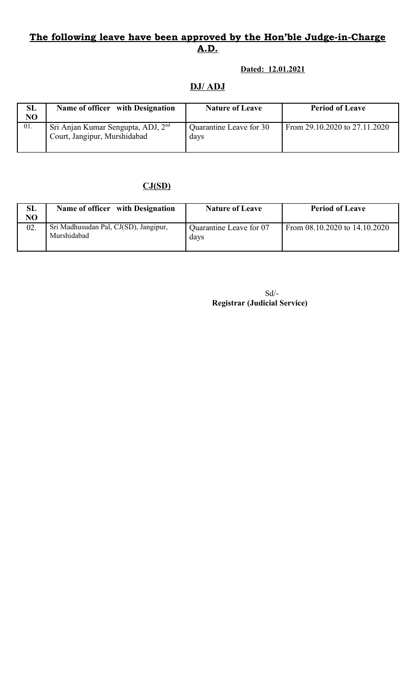#### **Dated: 12.01.2021**

### **DJ/ ADJ**

| <b>SL</b><br>NO | Name of officer with Designation                                               | <b>Nature of Leave</b>          | <b>Period of Leave</b>        |
|-----------------|--------------------------------------------------------------------------------|---------------------------------|-------------------------------|
| 01.             | Sri Anjan Kumar Sengupta, ADJ, 2 <sup>nd</sup><br>Court, Jangipur, Murshidabad | Quarantine Leave for 30<br>days | From 29.10.2020 to 27.11.2020 |

### **CJ(SD)**

| <b>SL</b><br>NO | Name of officer with Designation                     | <b>Nature of Leave</b>          | <b>Period of Leave</b>        |
|-----------------|------------------------------------------------------|---------------------------------|-------------------------------|
| 02.             | Sri Madhusudan Pal, CJ(SD), Jangipur,<br>Murshidabad | Quarantine Leave for 07<br>days | From 08.10.2020 to 14.10.2020 |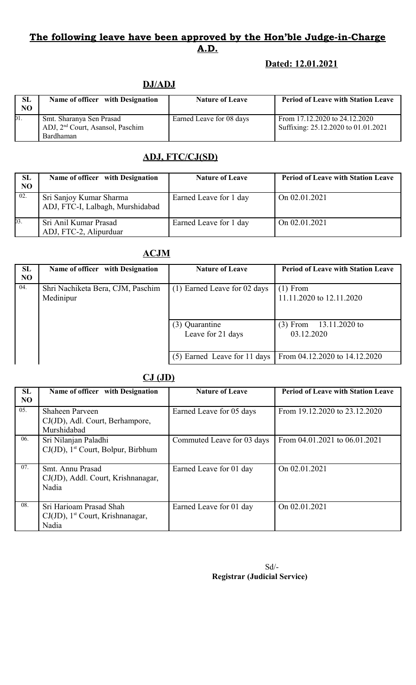### **Dated: 12.01.2021**

### **DJ/ADJ**

| <b>SL</b><br>NO. | Name of officer with Designation                                         | <b>Nature of Leave</b>   | <b>Period of Leave with Station Leave</b>                            |
|------------------|--------------------------------------------------------------------------|--------------------------|----------------------------------------------------------------------|
| 01.              | Smt. Sharanya Sen Prasad<br>ADJ, 2 <sup>nd</sup> Court, Asansol, Paschim | Earned Leave for 08 days | From 17.12.2020 to 24.12.2020<br>Suffixing: 25.12.2020 to 01.01.2021 |
|                  | Bardhaman                                                                |                          |                                                                      |

# **ADJ, FTC/CJ(SD)**

| SL<br>NO | Name of officer with Designation                            | <b>Nature of Leave</b> | <b>Period of Leave with Station Leave</b> |
|----------|-------------------------------------------------------------|------------------------|-------------------------------------------|
| 02.      | Sri Sanjoy Kumar Sharma<br>ADJ, FTC-I, Lalbagh, Murshidabad | Earned Leave for 1 day | On 02.01.2021                             |
| 03.      | Sri Anil Kumar Prasad<br>ADJ, FTC-2, Alipurduar             | Earned Leave for 1 day | On 02.01.2021                             |

### **ACJM**

| SL             | Name of officer with Designation               | <b>Nature of Leave</b>              | <b>Period of Leave with Station Leave</b> |
|----------------|------------------------------------------------|-------------------------------------|-------------------------------------------|
| N <sub>O</sub> |                                                |                                     |                                           |
| 04.            | Shri Nachiketa Bera, CJM, Paschim<br>Medinipur | (1) Earned Leave for 02 days        | $(1)$ From<br>11.11.2020 to 12.11.2020    |
|                |                                                | (3) Quarantine<br>Leave for 21 days | $(3)$ From<br>13.11.2020 to<br>03.12.2020 |
|                |                                                | (5) Earned Leave for 11 days        | From 04.12.2020 to 14.12.2020             |

### **CJ (JD)**

| <b>SL</b><br><b>NO</b> | Name of officer with Designation                                                    | <b>Nature of Leave</b>     | <b>Period of Leave with Station Leave</b> |
|------------------------|-------------------------------------------------------------------------------------|----------------------------|-------------------------------------------|
| 05.                    | Shaheen Parveen<br>CJ(JD), Adl. Court, Berhampore,<br>Murshidabad                   | Earned Leave for 05 days   | From 19.12.2020 to 23.12.2020             |
| 06.                    | Sri Nilanjan Paladhi<br>$CJ(JD)$ , 1 <sup>st</sup> Court, Bolpur, Birbhum           | Commuted Leave for 03 days | From 04.01.2021 to 06.01.2021             |
| 07.                    | Smt. Annu Prasad<br>CJ(JD), Addl. Court, Krishnanagar,<br>Nadia                     | Earned Leave for 01 day    | On 02.01.2021                             |
| 08.                    | Sri Harioam Prasad Shah<br>$CJ(JD)$ , 1 <sup>st</sup> Court, Krishnanagar,<br>Nadia | Earned Leave for 01 day    | On 02.01.2021                             |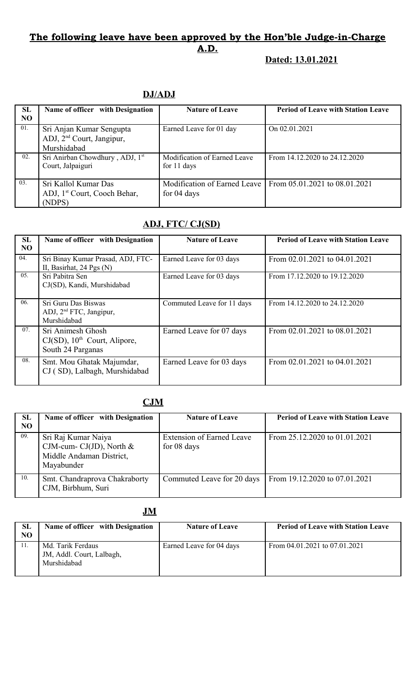### **Dated: 13.01.2021**

### **DJ/ADJ**

| SL<br>N <sub>O</sub> | Name of officer with Designation                                                 | <b>Nature of Leave</b>                      | <b>Period of Leave with Station Leave</b>                        |
|----------------------|----------------------------------------------------------------------------------|---------------------------------------------|------------------------------------------------------------------|
| 01.                  | Sri Anjan Kumar Sengupta<br>ADJ, 2 <sup>nd</sup> Court, Jangipur,<br>Murshidabad | Earned Leave for 01 day                     | On 02.01.2021                                                    |
| 02.                  | Sri Anirban Chowdhury, ADJ, 1st<br>Court, Jalpaiguri                             | Modification of Earned Leave<br>for 11 days | From $14.12.2020$ to $24.12.2020$                                |
| 03.                  | Sri Kallol Kumar Das<br>ADJ, 1 <sup>st</sup> Court, Cooch Behar,<br>(NDPS)       | for 04 days                                 | Modification of Earned Leave   From $05.01.2021$ to $08.01.2021$ |

# **ADJ, FTC/ CJ(SD)**

| SL        | Name of officer with Designation                                                      | <b>Nature of Leave</b>     | <b>Period of Leave with Station Leave</b> |
|-----------|---------------------------------------------------------------------------------------|----------------------------|-------------------------------------------|
| <b>NO</b> |                                                                                       |                            |                                           |
| 04.       | Sri Binay Kumar Prasad, ADJ, FTC-<br>II, Basirhat, $24$ Pgs (N)                       | Earned Leave for 03 days   | From 02.01.2021 to 04.01.2021             |
| 05.       | Sri Pabitra Sen<br>CJ(SD), Kandi, Murshidabad                                         | Earned Leave for 03 days   | From 17.12.2020 to 19.12.2020             |
| 06.       | Sri Guru Das Biswas<br>ADJ, 2 <sup>nd</sup> FTC, Jangipur,<br>Murshidabad             | Commuted Leave for 11 days | From 14.12.2020 to 24.12.2020             |
| 07.       | Sri Animesh Ghosh<br>$CJ(SD)$ , 10 <sup>th</sup> Court, Alipore,<br>South 24 Parganas | Earned Leave for 07 days   | From 02.01.2021 to 08.01.2021             |
| 08.       | Smt. Mou Ghatak Majumdar,<br>CJ (SD), Lalbagh, Murshidabad                            | Earned Leave for 03 days   | From 02.01.2021 to 04.01.2021             |

### **CJM**

| <b>SL</b><br>NO | Name of officer with Designation                                                            | <b>Nature of Leave</b>                          | <b>Period of Leave with Station Leave</b> |
|-----------------|---------------------------------------------------------------------------------------------|-------------------------------------------------|-------------------------------------------|
| 09.             | Sri Raj Kumar Naiya<br>CJM-cum- CJ(JD), North $&$<br>Middle Andaman District,<br>Mayabunder | <b>Extension of Earned Leave</b><br>for 08 days | From 25.12.2020 to 01.01.2021             |
| 10.             | Smt. Chandraprova Chakraborty<br>CJM, Birbhum, Suri                                         | Commuted Leave for 20 days                      | From 19.12.2020 to 07.01.2021             |

### **JM**

| SL | Name of officer with Designation                              | <b>Nature of Leave</b>   | <b>Period of Leave with Station Leave</b> |
|----|---------------------------------------------------------------|--------------------------|-------------------------------------------|
| NO |                                                               |                          |                                           |
|    | Md. Tarik Ferdaus<br>JM, Addl. Court, Lalbagh,<br>Murshidabad | Earned Leave for 04 days | From 04.01.2021 to 07.01.2021             |